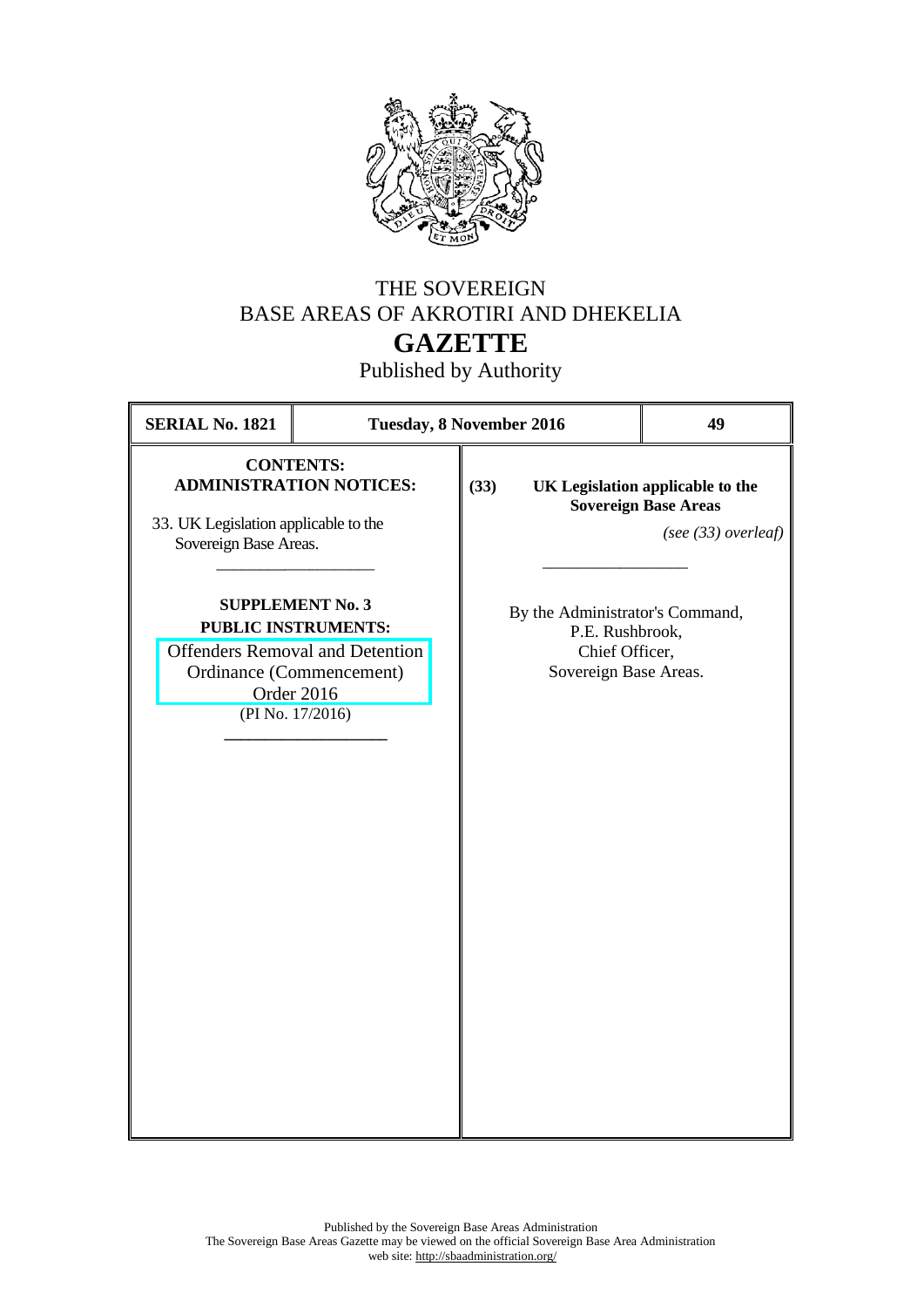

## THE SOVEREIGN BASE AREAS OF AKROTIRI AND DHEKELIA **GAZETTE**

Published by Authority